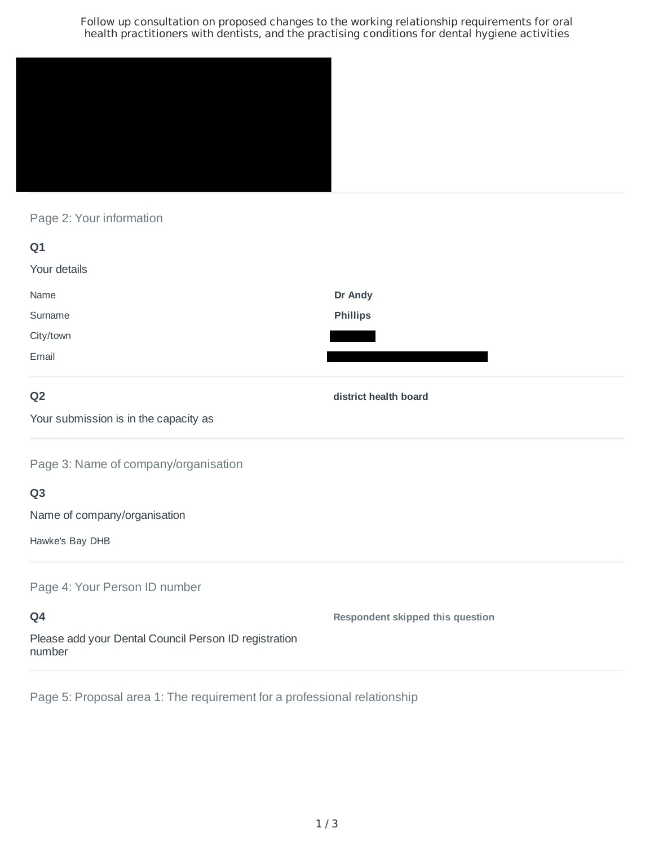Follow up consultation on proposed changes to the working relationship requirements for oral health practitioners with dentists, and the practising conditions for dental hygiene activities



Page 2: Your information

| Q1           |                 |
|--------------|-----------------|
| Your details |                 |
| Name         | Dr Andy         |
| Surname      | <b>Phillips</b> |
| City/town    |                 |
| Email        |                 |

# **Q2**

**district health board**

Your submission is in the capacity as

Page 3: Name of company/organisation

# **Q3**

Name of company/organisation

Hawke's Bay DHB

Page 4: Your Person ID number

**Q4** Please add your Dental Council Person ID registration number **Respondent skipped this question**

Page 5: Proposal area 1: The requirement for a professional relationship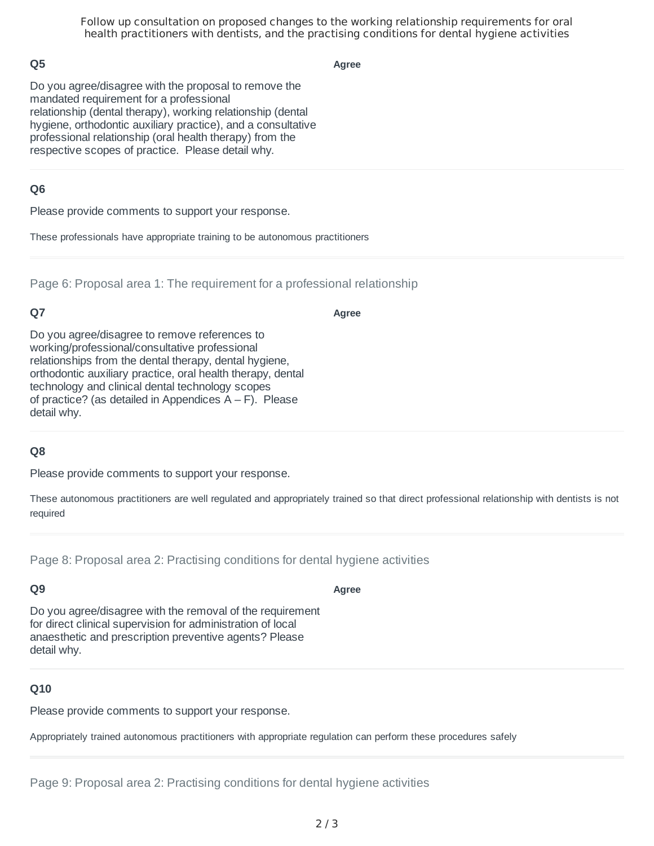Follow up consultation on proposed changes to the working relationship requirements for oral health practitioners with dentists, and the practising conditions for dental hygiene activities

## **Q5**

**Agree**

Do you agree/disagree with the proposal to remove the mandated requirement for a professional relationship (dental therapy), working relationship (dental hygiene, orthodontic auxiliary practice), and a consultative professional relationship (oral health therapy) from the respective scopes of practice. Please detail why.

## **Q6**

Please provide comments to support your response.

These professionals have appropriate training to be autonomous practitioners

Page 6: Proposal area 1: The requirement for a professional relationship

# **Q7**

**Agree**

Do you agree/disagree to remove references to working/professional/consultative professional relationships from the dental therapy, dental hygiene, orthodontic auxiliary practice, oral health therapy, dental technology and clinical dental technology scopes of practice? (as detailed in Appendices  $A - F$ ). Please detail why.

### **Q8**

Please provide comments to support your response.

These autonomous practitioners are well regulated and appropriately trained so that direct professional relationship with dentists is not required

Page 8: Proposal area 2: Practising conditions for dental hygiene activities

### **Q9**

Do you agree/disagree with the removal of the requirement for direct clinical supervision for administration of local anaesthetic and prescription preventive agents? Please detail why.

### **Q10**

Please provide comments to support your response.

Appropriately trained autonomous practitioners with appropriate regulation can perform these procedures safely

#### **Agree**